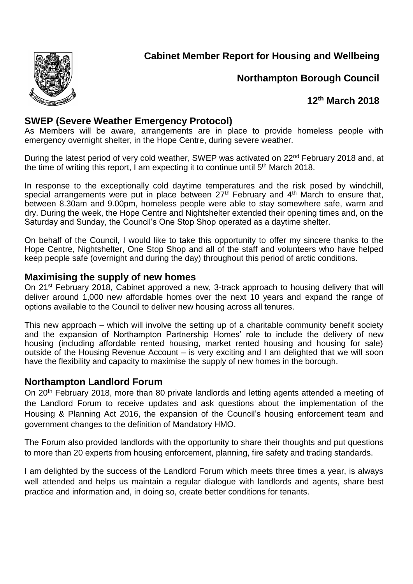

## **Northampton Borough Council**

# **12 th March 2018**

## **SWEP (Severe Weather Emergency Protocol)**

As Members will be aware, arrangements are in place to provide homeless people with emergency overnight shelter, in the Hope Centre, during severe weather.

During the latest period of very cold weather, SWEP was activated on 22<sup>nd</sup> February 2018 and, at the time of writing this report, I am expecting it to continue until  $5<sup>th</sup>$  March 2018.

In response to the exceptionally cold daytime temperatures and the risk posed by windchill, special arrangements were put in place between  $27<sup>th</sup>$  February and  $4<sup>th</sup>$  March to ensure that, between 8.30am and 9.00pm, homeless people were able to stay somewhere safe, warm and dry. During the week, the Hope Centre and Nightshelter extended their opening times and, on the Saturday and Sunday, the Council's One Stop Shop operated as a daytime shelter.

On behalf of the Council, I would like to take this opportunity to offer my sincere thanks to the Hope Centre, Nightshelter, One Stop Shop and all of the staff and volunteers who have helped keep people safe (overnight and during the day) throughout this period of arctic conditions.

#### **Maximising the supply of new homes**

On 21<sup>st</sup> February 2018, Cabinet approved a new, 3-track approach to housing delivery that will deliver around 1,000 new affordable homes over the next 10 years and expand the range of options available to the Council to deliver new housing across all tenures.

This new approach – which will involve the setting up of a charitable community benefit society and the expansion of Northampton Partnership Homes' role to include the delivery of new housing (including affordable rented housing, market rented housing and housing for sale) outside of the Housing Revenue Account – is very exciting and I am delighted that we will soon have the flexibility and capacity to maximise the supply of new homes in the borough.

#### **Northampton Landlord Forum**

On 20<sup>th</sup> February 2018, more than 80 private landlords and letting agents attended a meeting of the Landlord Forum to receive updates and ask questions about the implementation of the Housing & Planning Act 2016, the expansion of the Council's housing enforcement team and government changes to the definition of Mandatory HMO.

The Forum also provided landlords with the opportunity to share their thoughts and put questions to more than 20 experts from housing enforcement, planning, fire safety and trading standards.

I am delighted by the success of the Landlord Forum which meets three times a year, is always well attended and helps us maintain a regular dialogue with landlords and agents, share best practice and information and, in doing so, create better conditions for tenants.